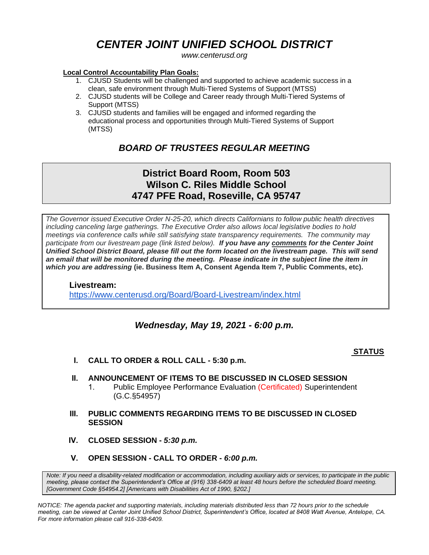# *CENTER JOINT UNIFIED SCHOOL DISTRICT*

*www.centerusd.org*

#### **Local Control Accountability Plan Goals:**

- 1. CJUSD Students will be challenged and supported to achieve academic success in a clean, safe environment through Multi-Tiered Systems of Support (MTSS)
- 2. CJUSD students will be College and Career ready through Multi-Tiered Systems of Support (MTSS)
- 3. CJUSD students and families will be engaged and informed regarding the educational process and opportunities through Multi-Tiered Systems of Support (MTSS)

## *BOARD OF TRUSTEES REGULAR MEETING*

## **District Board Room, Room 503 Wilson C. Riles Middle School 4747 PFE Road, Roseville, CA 95747**

*The Governor issued Executive Order N-25-20, which directs Californians to follow public health directives including canceling large gatherings. The Executive Order also allows local legislative bodies to hold meetings via conference calls while still satisfying state transparency requirements. The community may participate from our livestream page (link listed below). If you have any comments for the Center Joint Unified School District Board, please fill out the form located on the livestream page. This will send*  an email that will be monitored during the meeting. Please indicate in the subject line the *item* in *which you are addressing* **(ie. Business Item A, Consent Agenda Item 7, Public Comments, etc)***.*

### **Livestream:** <https://www.centerusd.org/Board/Board-Livestream/index.html>

## *Wednesday, May 19, 2021 - 6:00 p.m.*

### **STATUS**

- **I. CALL TO ORDER & ROLL CALL 5:30 p.m.**
- **II. ANNOUNCEMENT OF ITEMS TO BE DISCUSSED IN CLOSED SESSION**
	- 1. Public Employee Performance Evaluation (Certificated) Superintendent (G.C.§54957)
- **III. PUBLIC COMMENTS REGARDING ITEMS TO BE DISCUSSED IN CLOSED SESSION**
- **IV. CLOSED SESSION -** *5:30 p.m.*
- **V. OPEN SESSION CALL TO ORDER -** *6:00 p.m.*

*Note: If you need a disability-related modification or accommodation, including auxiliary aids or services, to participate in the public meeting, please contact the Superintendent's Office at (916) 338-6409 at least 48 hours before the scheduled Board meeting. [Government Code §54954.2] [Americans with Disabilities Act of 1990, §202.]*

*NOTICE: The agenda packet and supporting materials, including materials distributed less than 72 hours prior to the schedule meeting, can be viewed at Center Joint Unified School District, Superintendent's Office, located at 8408 Watt Avenue, Antelope, CA. For more information please call 916-338-6409.*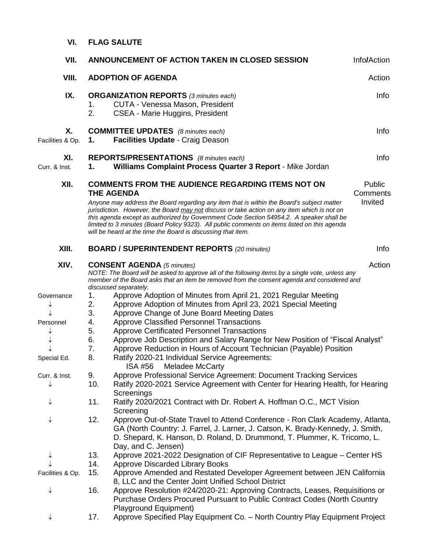| VII.                                                              | ANNOUNCEMENT OF ACTION TAKEN IN CLOSED SESSION                                                                                                                                                                                                                                                                                                                                                                                                                                                                                                                                                                                                                                                                 | Info/Action                   |
|-------------------------------------------------------------------|----------------------------------------------------------------------------------------------------------------------------------------------------------------------------------------------------------------------------------------------------------------------------------------------------------------------------------------------------------------------------------------------------------------------------------------------------------------------------------------------------------------------------------------------------------------------------------------------------------------------------------------------------------------------------------------------------------------|-------------------------------|
| VIII.                                                             | <b>ADOPTION OF AGENDA</b><br>Action                                                                                                                                                                                                                                                                                                                                                                                                                                                                                                                                                                                                                                                                            |                               |
| IX.                                                               | <b>ORGANIZATION REPORTS (3 minutes each)</b><br>CUTA - Venessa Mason, President<br>1.<br>2.<br>CSEA - Marie Huggins, President                                                                                                                                                                                                                                                                                                                                                                                                                                                                                                                                                                                 | <b>Info</b>                   |
| Χ.<br>Facilities & Op.                                            | <b>COMMITTEE UPDATES</b> (8 minutes each)<br>Facilities Update - Craig Deason<br>1.                                                                                                                                                                                                                                                                                                                                                                                                                                                                                                                                                                                                                            | Info                          |
| XI.<br>Curr. & Inst.                                              | <b>REPORTS/PRESENTATIONS</b> (8 minutes each)<br>Williams Complaint Process Quarter 3 Report - Mike Jordan<br>1.                                                                                                                                                                                                                                                                                                                                                                                                                                                                                                                                                                                               | Info                          |
| XII.                                                              | <b>COMMENTS FROM THE AUDIENCE REGARDING ITEMS NOT ON</b><br><b>THE AGENDA</b><br>Anyone may address the Board regarding any item that is within the Board's subject matter<br>jurisdiction. However, the Board may not discuss or take action on any item which is not on<br>this agenda except as authorized by Government Code Section 54954.2. A speaker shall be<br>limited to 3 minutes (Board Policy 9323). All public comments on items listed on this agenda<br>will be heard at the time the Board is discussing that item.                                                                                                                                                                           | Public<br>Comments<br>Invited |
| XIII.                                                             | <b>BOARD / SUPERINTENDENT REPORTS (20 minutes)</b>                                                                                                                                                                                                                                                                                                                                                                                                                                                                                                                                                                                                                                                             | Info                          |
| XIV.                                                              | Action<br><b>CONSENT AGENDA</b> (5 minutes)<br>NOTE: The Board will be asked to approve all of the following items by a single vote, unless any<br>member of the Board asks that an item be removed from the consent agenda and considered and<br>discussed separately.                                                                                                                                                                                                                                                                                                                                                                                                                                        |                               |
| Governance<br>↓<br>Personnel<br>↓<br>Special Ed.<br>Curr. & Inst. | Approve Adoption of Minutes from April 21, 2021 Regular Meeting<br>Approve Adoption of Minutes from April 23, 2021 Special Meeting<br>Approve Change of June Board Meeting Dates<br><b>Approve Classified Personnel Transactions</b><br><b>Approve Certificated Personnel Transactions</b><br>Approve Job Description and Salary Range for New Position of "Fiscal Analyst"<br>Approve Reduction in Hours of Account Technician (Payable) Position<br>Ratify 2020-21 Individual Service Agreements:<br>ISA #56<br>Meladee McCarty<br>Approve Professional Service Agreement: Document Tracking Services<br>10.<br>Ratify 2020-2021 Service Agreement with Center for Hearing Health, for Hearing<br>Screenings |                               |
| ↓<br>↓                                                            | Ratify 2020/2021 Contract with Dr. Robert A. Hoffman O.C., MCT Vision<br>11.<br>Screening<br>12.<br>Approve Out-of-State Travel to Attend Conference - Ron Clark Academy, Atlanta,<br>GA (North Country: J. Farrel, J. Larner, J. Catson, K. Brady-Kennedy, J. Smith,<br>D. Shepard, K. Hanson, D. Roland, D. Drummond, T. Plummer, K. Tricomo, L.<br>Day, and C. Jensen)                                                                                                                                                                                                                                                                                                                                      |                               |
| ↓<br>Facilities & Op.                                             | Approve 2021-2022 Designation of CIF Representative to League – Center HS<br>13.<br><b>Approve Discarded Library Books</b><br>14.<br>Approve Amended and Restated Developer Agreement between JEN California<br>15.<br>8, LLC and the Center Joint Unified School District                                                                                                                                                                                                                                                                                                                                                                                                                                     |                               |
| ↓                                                                 | Approve Resolution #24/2020-21: Approving Contracts, Leases, Requisitions or<br>16.<br>Purchase Orders Procured Pursuant to Public Contract Codes (North Country<br>Playground Equipment)                                                                                                                                                                                                                                                                                                                                                                                                                                                                                                                      |                               |
| ↓                                                                 | Approve Specified Play Equipment Co. - North Country Play Equipment Project<br>17.                                                                                                                                                                                                                                                                                                                                                                                                                                                                                                                                                                                                                             |                               |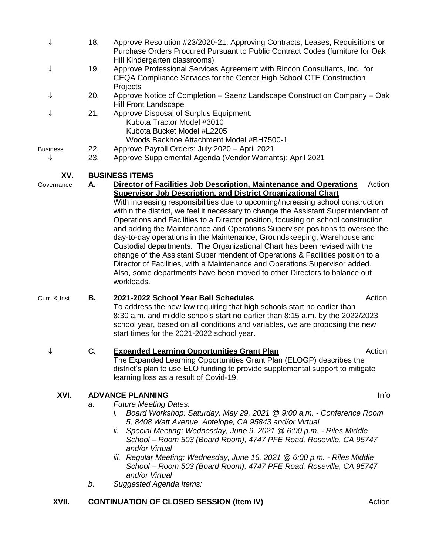| ↓               | 18.                             | Approve Resolution #23/2020-21: Approving Contracts, Leases, Requisitions or<br>Purchase Orders Procured Pursuant to Public Contract Codes (furniture for Oak                                                                                                                                                                                                                                                                                                                                                                                                                                                                                                                                                                                                                                                                                                                                                             |  |  |
|-----------------|---------------------------------|---------------------------------------------------------------------------------------------------------------------------------------------------------------------------------------------------------------------------------------------------------------------------------------------------------------------------------------------------------------------------------------------------------------------------------------------------------------------------------------------------------------------------------------------------------------------------------------------------------------------------------------------------------------------------------------------------------------------------------------------------------------------------------------------------------------------------------------------------------------------------------------------------------------------------|--|--|
| ↓               | 19.                             | Hill Kindergarten classrooms)<br>Approve Professional Services Agreement with Rincon Consultants, Inc., for<br>CEQA Compliance Services for the Center High School CTE Construction<br>Projects                                                                                                                                                                                                                                                                                                                                                                                                                                                                                                                                                                                                                                                                                                                           |  |  |
| ↓               | 20.                             | Approve Notice of Completion – Saenz Landscape Construction Company – Oak<br>Hill Front Landscape                                                                                                                                                                                                                                                                                                                                                                                                                                                                                                                                                                                                                                                                                                                                                                                                                         |  |  |
| ↓               | 21.                             | Approve Disposal of Surplus Equipment:<br>Kubota Tractor Model #3010<br>Kubota Bucket Model #L2205<br>Woods Backhoe Attachment Model #BH7500-1                                                                                                                                                                                                                                                                                                                                                                                                                                                                                                                                                                                                                                                                                                                                                                            |  |  |
| <b>Business</b> | 22.                             | Approve Payroll Orders: July 2020 - April 2021                                                                                                                                                                                                                                                                                                                                                                                                                                                                                                                                                                                                                                                                                                                                                                                                                                                                            |  |  |
| ↓               | 23.                             | Approve Supplemental Agenda (Vendor Warrants): April 2021                                                                                                                                                                                                                                                                                                                                                                                                                                                                                                                                                                                                                                                                                                                                                                                                                                                                 |  |  |
| XV.             |                                 | <b>BUSINESS ITEMS</b>                                                                                                                                                                                                                                                                                                                                                                                                                                                                                                                                                                                                                                                                                                                                                                                                                                                                                                     |  |  |
| Governance      | А.                              | Action<br>Director of Facilities Job Description, Maintenance and Operations<br><b>Supervisor Job Description, and District Organizational Chart</b><br>With increasing responsibilities due to upcoming/increasing school construction<br>within the district, we feel it necessary to change the Assistant Superintendent of<br>Operations and Facilities to a Director position, focusing on school construction,<br>and adding the Maintenance and Operations Supervisor positions to oversee the<br>day-to-day operations in the Maintenance, Groundskeeping, Warehouse and<br>Custodial departments. The Organizational Chart has been revised with the<br>change of the Assistant Superintendent of Operations & Facilities position to a<br>Director of Facilities, with a Maintenance and Operations Supervisor added.<br>Also, some departments have been moved to other Directors to balance out<br>workloads. |  |  |
| Curr. & Inst.   | В.                              | Action<br>2021-2022 School Year Bell Schedules<br>To address the new law requiring that high schools start no earlier than<br>8:30 a.m. and middle schools start no earlier than 8:15 a.m. by the 2022/2023<br>school year, based on all conditions and variables, we are proposing the new<br>start times for the 2021-2022 school year.                                                                                                                                                                                                                                                                                                                                                                                                                                                                                                                                                                                 |  |  |
|                 |                                 | <b>Expanded Learning Opportunities Grant Plan</b><br>Action<br>The Expanded Learning Opportunities Grant Plan (ELOGP) describes the<br>district's plan to use ELO funding to provide supplemental support to mitigate<br>learning loss as a result of Covid-19.                                                                                                                                                                                                                                                                                                                                                                                                                                                                                                                                                                                                                                                           |  |  |
| XVI.            | <b>ADVANCE PLANNING</b><br>Info |                                                                                                                                                                                                                                                                                                                                                                                                                                                                                                                                                                                                                                                                                                                                                                                                                                                                                                                           |  |  |
|                 | a.<br>b.                        | <b>Future Meeting Dates:</b><br>Board Workshop: Saturday, May 29, 2021 @ 9:00 a.m. - Conference Room<br>I.<br>5, 8408 Watt Avenue, Antelope, CA 95843 and/or Virtual<br>Special Meeting: Wednesday, June 9, 2021 @ 6:00 p.m. - Riles Middle<br>ii.<br>School - Room 503 (Board Room), 4747 PFE Road, Roseville, CA 95747<br>and/or Virtual<br>iii. Regular Meeting: Wednesday, June 16, 2021 @ 6:00 p.m. - Riles Middle<br>School - Room 503 (Board Room), 4747 PFE Road, Roseville, CA 95747<br>and/or Virtual<br>Suggested Agenda Items:                                                                                                                                                                                                                                                                                                                                                                                |  |  |
|                 |                                 |                                                                                                                                                                                                                                                                                                                                                                                                                                                                                                                                                                                                                                                                                                                                                                                                                                                                                                                           |  |  |

## **XVII. CONTINUATION OF CLOSED SESSION (Item IV) Action**